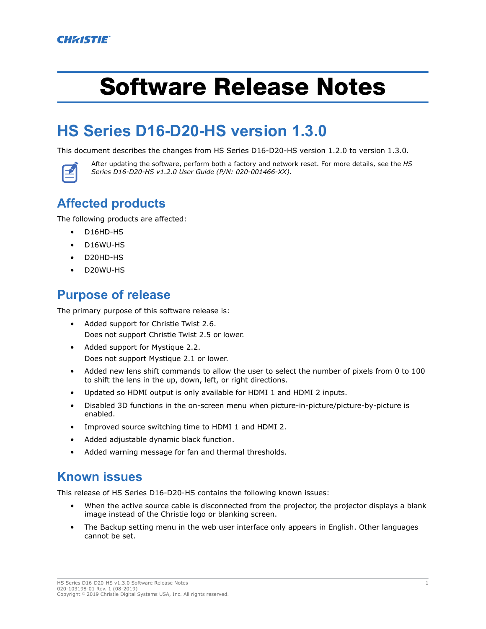# Software Release Notes

## **HS Series D16-D20-HS version 1.3.0**

This document describes the changes from HS Series D16-D20-HS version 1.2.0 to version 1.3.0.



After updating the software, perform both a factory and network reset. For more details, see the *HS Series D16-D20-HS v1.2.0 User Guide (P/N: 020-001466-XX)*.

### **Affected products**

The following products are affected:

- D16HD-HS
- D16WU-HS
- D20HD-HS
- D20WU-HS

#### **Purpose of release**

The primary purpose of this software release is:

- Added support for Christie Twist 2.6. Does not support Christie Twist 2.5 or lower.
- Added support for Mystique 2.2. Does not support Mystique 2.1 or lower.
- Added new lens shift commands to allow the user to select the number of pixels from 0 to 100 to shift the lens in the up, down, left, or right directions.
- Updated so HDMI output is only available for HDMI 1 and HDMI 2 inputs.
- Disabled 3D functions in the on-screen menu when picture-in-picture/picture-by-picture is enabled.
- Improved source switching time to HDMI 1 and HDMI 2.
- Added adjustable dynamic black function.
- Added warning message for fan and thermal thresholds.

#### **Known issues**

This release of HS Series D16-D20-HS contains the following known issues:

- When the active source cable is disconnected from the projector, the projector displays a blank image instead of the Christie logo or blanking screen.
- The Backup setting menu in the web user interface only appears in English. Other languages cannot be set.